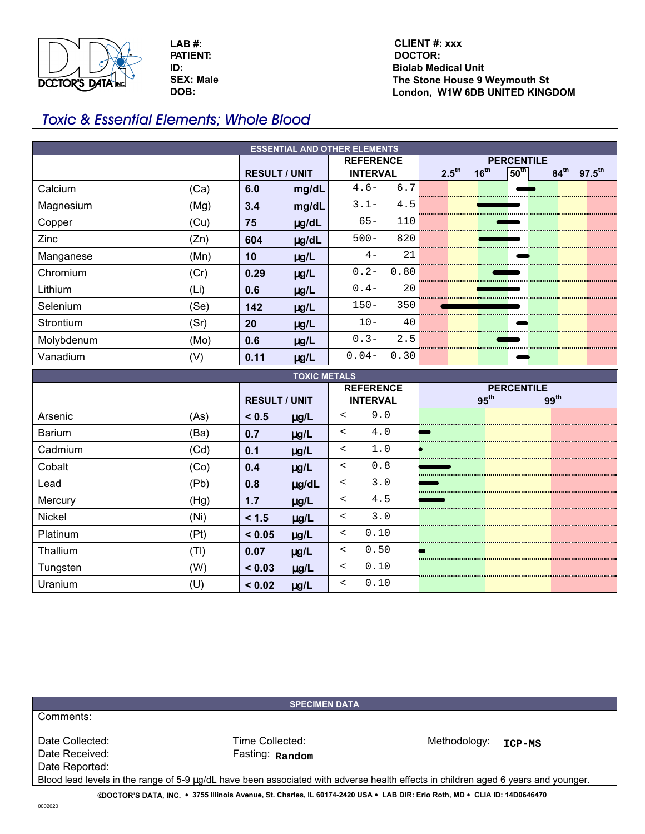

**SEX: Male DOB: LAB #: PATIENT: ID:**

## **Biolab Medical Unit The Stone House 9 Weymouth St London, W1W 6DB UNITED KINGDOM CLIENT #: xxx DOCTOR:**

# Toxic & Essential Elements; Whole Blood

| <b>ESSENTIAL AND OTHER ELEMENTS</b> |      |                      |            |                  |                   |                   |  |                  |             |                  |  |                    |  |
|-------------------------------------|------|----------------------|------------|------------------|-------------------|-------------------|--|------------------|-------------|------------------|--|--------------------|--|
|                                     |      |                      |            | <b>REFERENCE</b> | <b>PERCENTILE</b> |                   |  |                  |             |                  |  |                    |  |
|                                     |      | <b>RESULT / UNIT</b> |            | <b>INTERVAL</b>  |                   | 2.5 <sup>th</sup> |  | 16 <sup>th</sup> | $ 50^{th} $ | 84 <sup>th</sup> |  | $97.5^{\text{th}}$ |  |
| Calcium                             | (Ca) | 6.0                  | mg/dL      | $4.6-$           | 6.7               |                   |  |                  |             |                  |  |                    |  |
| Magnesium                           | (Mg) | 3.4                  | mg/dL      | $3.1 -$          | 4.5               |                   |  |                  |             |                  |  |                    |  |
| Copper                              | (Cu) | 75                   | $\mu$ g/dL | $65 -$           | 110               |                   |  |                  |             |                  |  |                    |  |
| Zinc                                | (Zn) | 604                  | ug/dL      | $500 -$          | 820               |                   |  |                  |             |                  |  |                    |  |
| Manganese                           | (Mn) | 10                   | $\mu$ g/L  | $4-$             | 21                |                   |  |                  |             |                  |  |                    |  |
| Chromium                            | (Cr) | 0.29                 | $\mu$ g/L  | $0.2 -$          | 0.80              |                   |  |                  |             |                  |  |                    |  |
| Lithium                             | (Li) | 0.6                  | $\mu$ g/L  | $0.4-$           | 20                |                   |  |                  |             |                  |  |                    |  |
| Selenium                            | (Se) | 142                  | $\mu$ g/L  | $150 -$          | 350               |                   |  |                  |             |                  |  |                    |  |
| <b>Strontium</b>                    | (Sr) | 20                   | $\mu g/L$  | $10 -$           | 40                |                   |  |                  |             |                  |  |                    |  |
| Molybdenum                          | (Mo) | 0.6                  | $\mu$ g/L  | $0.3 -$          | 2.5               |                   |  |                  |             |                  |  |                    |  |
| Vanadium                            | (V)  | 0.11                 | $\mu$ g/L  | $0.04-$          | 0.30              |                   |  |                  |             |                  |  |                    |  |
| <b>TOXIC METALS</b>                 |      |                      |            |                  |                   |                   |  |                  |             |                  |  |                    |  |
|                                     |      |                      |            |                  | <b>BEBAENEDE</b>  |                   |  |                  |             |                  |  |                    |  |

| TYAN METALY   |      |                      |           |                  |      |                   |  |                  |  |  |  |
|---------------|------|----------------------|-----------|------------------|------|-------------------|--|------------------|--|--|--|
|               |      |                      |           | <b>REFERENCE</b> |      | <b>PERCENTILE</b> |  |                  |  |  |  |
|               |      | <b>RESULT / UNIT</b> |           | <b>INTERVAL</b>  |      | 95 <sup>th</sup>  |  | 99 <sup>th</sup> |  |  |  |
| Arsenic       | (As) | < 0.5                | $\mu$ g/L | $\,<\,$          | 9.0  |                   |  |                  |  |  |  |
| <b>Barium</b> | (Ba) | 0.7                  | $\mu$ g/L | $\,<\,$          | 4.0  |                   |  |                  |  |  |  |
| Cadmium       | (Cd) | 0.1                  | $\mu$ g/L | $\,<\,$          | 1.0  |                   |  |                  |  |  |  |
| Cobalt        | (Co) | 0.4                  | $\mu$ g/L | $\,<\,$          | 0.8  |                   |  |                  |  |  |  |
| Lead          | (Pb) | 0.8                  | µg/dL     | $\,<\,$          | 3.0  |                   |  |                  |  |  |  |
| Mercury       | (Hg) | 1.7                  | $\mu$ g/L | $\,<\,$          | 4.5  |                   |  |                  |  |  |  |
| Nickel        | (Ni) | < 1.5                | $\mu$ g/L | $\,<\,$          | 3.0  |                   |  |                  |  |  |  |
| Platinum      | (Pt) | < 0.05               | $\mu$ g/L | $\lt$            | 0.10 |                   |  |                  |  |  |  |
| Thallium      | (TI) | 0.07                 | $\mu$ g/L | $\prec$          | 0.50 |                   |  |                  |  |  |  |
| Tungsten      | (W)  | < 0.03               | $\mu$ g/L | $\lt$            | 0.10 |                   |  |                  |  |  |  |
| Uranium       | (U)  | < 0.02               | $\mu$ g/L | $\prec$          | 0.10 |                   |  |                  |  |  |  |

**SPECIMEN DATA**

Date Collected: Time Collected: Time Collected: Methodology: **ICP-MS**<br>Date Received: Fasting: Random Date Reported:

Comments:

Fasting: Random

Blood lead levels in the range of 5-9 µg/dL have been associated with adverse health effects in children aged 6 years and younger. **©DOCTOR'S DATA, INC.** y **3755 Illinois Avenue, St. Charles, IL 60174-2420 USA** y **LAB DIR: Erlo Roth, MD** y **CLIA ID: 14D0646470**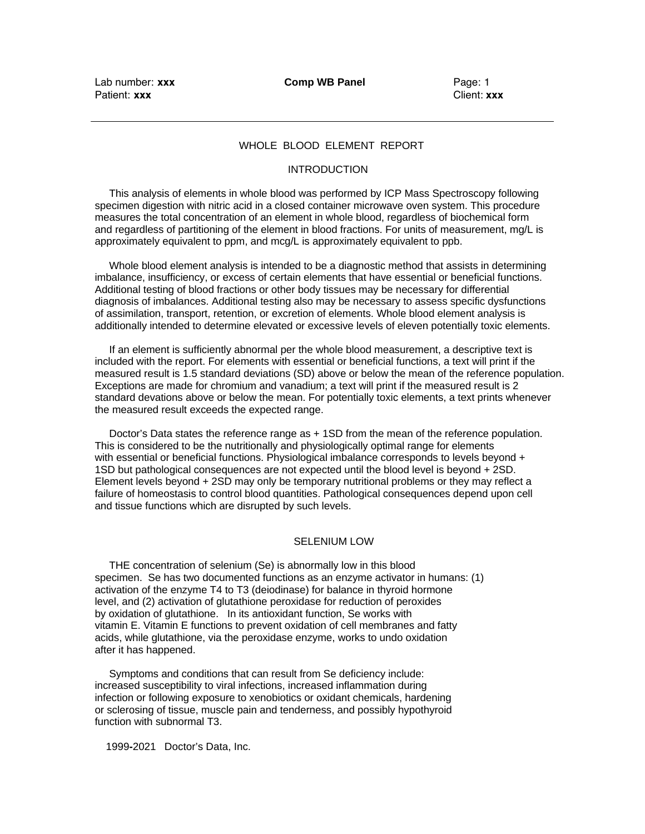Lab number: **xxx** Patient: **xxx**

**Comp WB Panel**

Page: 1 Client: **xxx**

## WHOLE BLOOD ELEMENT REPORT

#### **INTRODUCTION**

 This analysis of elements in whole blood was performed by ICP Mass Spectroscopy following specimen digestion with nitric acid in a closed container microwave oven system. This procedure measures the total concentration of an element in whole blood, regardless of biochemical form and regardless of partitioning of the element in blood fractions. For units of measurement, mg/L is approximately equivalent to ppm, and mcg/L is approximately equivalent to ppb.

 Whole blood element analysis is intended to be a diagnostic method that assists in determining imbalance, insufficiency, or excess of certain elements that have essential or beneficial functions. Additional testing of blood fractions or other body tissues may be necessary for differential diagnosis of imbalances. Additional testing also may be necessary to assess specific dysfunctions of assimilation, transport, retention, or excretion of elements. Whole blood element analysis is additionally intended to determine elevated or excessive levels of eleven potentially toxic elements.

 If an element is sufficiently abnormal per the whole blood measurement, a descriptive text is included with the report. For elements with essential or beneficial functions, a text will print if the measured result is 1.5 standard deviations (SD) above or below the mean of the reference population. Exceptions are made for chromium and vanadium; a text will print if the measured result is 2 standard devations above or below the mean. For potentially toxic elements, a text prints whenever the measured result exceeds the expected range.

 Doctor's Data states the reference range as + 1SD from the mean of the reference population. This is considered to be the nutritionally and physiologically optimal range for elements with essential or beneficial functions. Physiological imbalance corresponds to levels beyond + 1SD but pathological consequences are not expected until the blood level is beyond + 2SD. Element levels beyond + 2SD may only be temporary nutritional problems or they may reflect a failure of homeostasis to control blood quantities. Pathological consequences depend upon cell and tissue functions which are disrupted by such levels.

#### SELENIUM LOW

 THE concentration of selenium (Se) is abnormally low in this blood specimen. Se has two documented functions as an enzyme activator in humans: (1) activation of the enzyme T4 to T3 (deiodinase) for balance in thyroid hormone level, and (2) activation of glutathione peroxidase for reduction of peroxides by oxidation of glutathione. In its antioxidant function, Se works with vitamin E. Vitamin E functions to prevent oxidation of cell membranes and fatty acids, while glutathione, via the peroxidase enzyme, works to undo oxidation after it has happened.

 Symptoms and conditions that can result from Se deficiency include: increased susceptibility to viral infections, increased inflammation during infection or following exposure to xenobiotics or oxidant chemicals, hardening or sclerosing of tissue, muscle pain and tenderness, and possibly hypothyroid function with subnormal T3.

1999**-**2021 Doctor's Data, Inc.